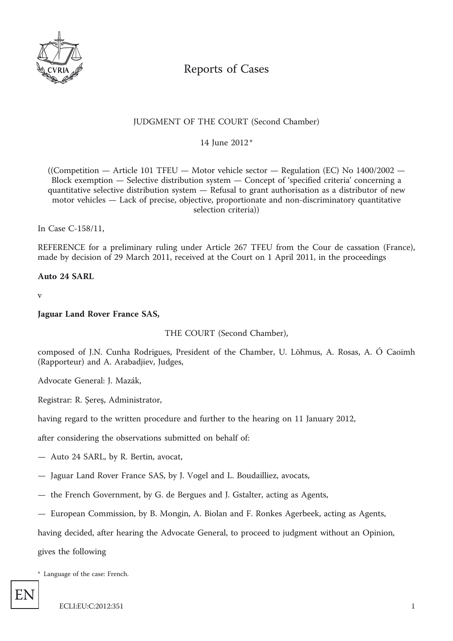

# Reports of Cases

# JUDGMENT OF THE COURT (Second Chamber)

\* 14 June 2012

((Competition — Article 101 TFEU — Motor vehicle sector — Regulation (EC) No 1400/2002 — Block exemption — Selective distribution system — Concept of 'specified criteria' concerning a quantitative selective distribution system — Refusal to grant authorisation as a distributor of new motor vehicles — Lack of precise, objective, proportionate and non-discriminatory quantitative selection criteria))

In Case C-158/11,

REFERENCE for a preliminary ruling under Article 267 TFEU from the Cour de cassation (France), made by decision of 29 March 2011, received at the Court on 1 April 2011, in the proceedings

#### **Auto 24 SARL**

v

#### **Jaguar Land Rover France SAS,**

THE COURT (Second Chamber),

composed of J.N. Cunha Rodrigues, President of the Chamber, U. Lõhmus, A. Rosas, A. Ó Caoimh (Rapporteur) and A. Arabadjiev, Judges,

Advocate General: J. Mazák,

Registrar: R. Şereş, Administrator,

having regard to the written procedure and further to the hearing on 11 January 2012,

after considering the observations submitted on behalf of:

— Auto 24 SARL, by R. Bertin, avocat,

- Jaguar Land Rover France SAS, by J. Vogel and L. Boudailliez, avocats,
- the French Government, by G. de Bergues and J. Gstalter, acting as Agents,
- European Commission, by B. Mongin, A. Biolan and F. Ronkes Agerbeek, acting as Agents,

having decided, after hearing the Advocate General, to proceed to judgment without an Opinion,

gives the following

\* Language of the case: French.

EN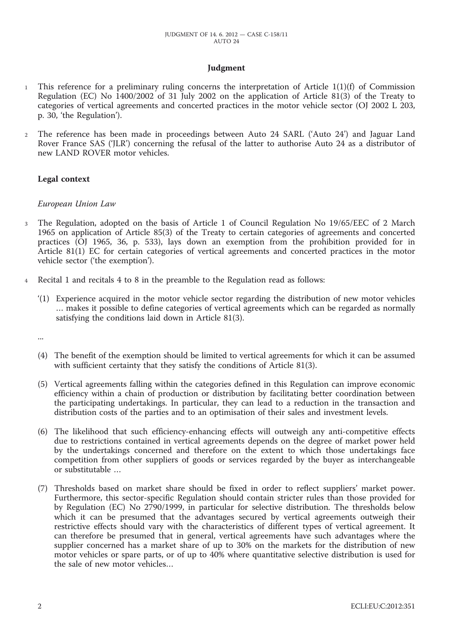### **Judgment**

- 1 This reference for a preliminary ruling concerns the interpretation of Article 1(1)(f) of Commission Regulation (EC) No 1400/2002 of 31 July 2002 on the application of Article 81(3) of the Treaty to categories of vertical agreements and concerted practices in the motor vehicle sector (OJ 2002 L 203, p. 30, 'the Regulation').
- 2 The reference has been made in proceedings between Auto 24 SARL ('Auto 24') and Jaguar Land Rover France SAS ('JLR') concerning the refusal of the latter to authorise Auto 24 as a distributor of new LAND ROVER motor vehicles.

#### **Legal context**

#### *European Union Law*

- 3 The Regulation, adopted on the basis of Article 1 of Council Regulation No 19/65/EEC of 2 March 1965 on application of Article 85(3) of the Treaty to certain categories of agreements and concerted practices (OJ 1965, 36, p. 533), lays down an exemption from the prohibition provided for in Article 81(1) EC for certain categories of vertical agreements and concerted practices in the motor vehicle sector ('the exemption').
- 4 Recital 1 and recitals 4 to 8 in the preamble to the Regulation read as follows:
	- '(1) Experience acquired in the motor vehicle sector regarding the distribution of new motor vehicles … makes it possible to define categories of vertical agreements which can be regarded as normally satisfying the conditions laid down in Article 81(3).

...

- (4) The benefit of the exemption should be limited to vertical agreements for which it can be assumed with sufficient certainty that they satisfy the conditions of Article 81(3).
- (5) Vertical agreements falling within the categories defined in this Regulation can improve economic efficiency within a chain of production or distribution by facilitating better coordination between the participating undertakings. In particular, they can lead to a reduction in the transaction and distribution costs of the parties and to an optimisation of their sales and investment levels.
- (6) The likelihood that such efficiency-enhancing effects will outweigh any anti-competitive effects due to restrictions contained in vertical agreements depends on the degree of market power held by the undertakings concerned and therefore on the extent to which those undertakings face competition from other suppliers of goods or services regarded by the buyer as interchangeable or substitutable …
- (7) Thresholds based on market share should be fixed in order to reflect suppliers' market power. Furthermore, this sector-specific Regulation should contain stricter rules than those provided for by Regulation (EC) No 2790/1999, in particular for selective distribution. The thresholds below which it can be presumed that the advantages secured by vertical agreements outweigh their restrictive effects should vary with the characteristics of different types of vertical agreement. It can therefore be presumed that in general, vertical agreements have such advantages where the supplier concerned has a market share of up to 30% on the markets for the distribution of new motor vehicles or spare parts, or of up to 40% where quantitative selective distribution is used for the sale of new motor vehicles…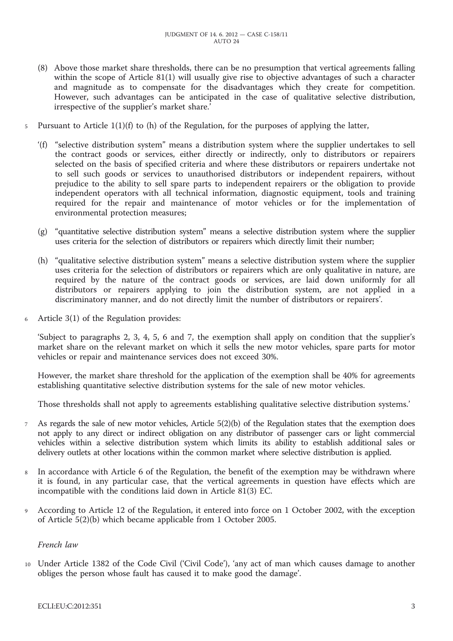- (8) Above those market share thresholds, there can be no presumption that vertical agreements falling within the scope of Article 81(1) will usually give rise to objective advantages of such a character and magnitude as to compensate for the disadvantages which they create for competition. However, such advantages can be anticipated in the case of qualitative selective distribution, irrespective of the supplier's market share.'
- 5 Pursuant to Article  $1(1)(f)$  to (h) of the Regulation, for the purposes of applying the latter,
	- '(f) "selective distribution system" means a distribution system where the supplier undertakes to sell the contract goods or services, either directly or indirectly, only to distributors or repairers selected on the basis of specified criteria and where these distributors or repairers undertake not to sell such goods or services to unauthorised distributors or independent repairers, without prejudice to the ability to sell spare parts to independent repairers or the obligation to provide independent operators with all technical information, diagnostic equipment, tools and training required for the repair and maintenance of motor vehicles or for the implementation of environmental protection measures;
	- (g) "quantitative selective distribution system" means a selective distribution system where the supplier uses criteria for the selection of distributors or repairers which directly limit their number;
	- (h) "qualitative selective distribution system" means a selective distribution system where the supplier uses criteria for the selection of distributors or repairers which are only qualitative in nature, are required by the nature of the contract goods or services, are laid down uniformly for all distributors or repairers applying to join the distribution system, are not applied in a discriminatory manner, and do not directly limit the number of distributors or repairers'.
- 6 Article 3(1) of the Regulation provides:

'Subject to paragraphs 2, 3, 4, 5, 6 and 7, the exemption shall apply on condition that the supplier's market share on the relevant market on which it sells the new motor vehicles, spare parts for motor vehicles or repair and maintenance services does not exceed 30%.

However, the market share threshold for the application of the exemption shall be 40% for agreements establishing quantitative selective distribution systems for the sale of new motor vehicles.

Those thresholds shall not apply to agreements establishing qualitative selective distribution systems.'

- 7 As regards the sale of new motor vehicles, Article 5(2)(b) of the Regulation states that the exemption does not apply to any direct or indirect obligation on any distributor of passenger cars or light commercial vehicles within a selective distribution system which limits its ability to establish additional sales or delivery outlets at other locations within the common market where selective distribution is applied.
- In accordance with Article 6 of the Regulation, the benefit of the exemption may be withdrawn where it is found, in any particular case, that the vertical agreements in question have effects which are incompatible with the conditions laid down in Article 81(3) EC.
- 9 According to Article 12 of the Regulation, it entered into force on 1 October 2002, with the exception of Article 5(2)(b) which became applicable from 1 October 2005.

# *French law*

10 Under Article 1382 of the Code Civil ('Civil Code'), 'any act of man which causes damage to another obliges the person whose fault has caused it to make good the damage'.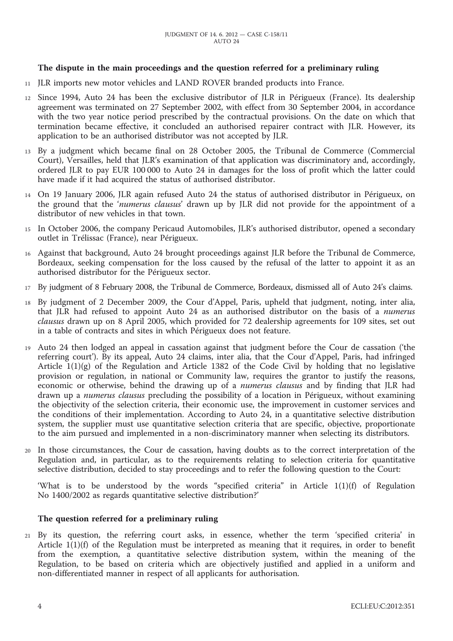#### **The dispute in the main proceedings and the question referred for a preliminary ruling**

- 11 JLR imports new motor vehicles and LAND ROVER branded products into France.
- 12 Since 1994, Auto 24 has been the exclusive distributor of JLR in Périgueux (France). Its dealership agreement was terminated on 27 September 2002, with effect from 30 September 2004, in accordance with the two year notice period prescribed by the contractual provisions. On the date on which that termination became effective, it concluded an authorised repairer contract with JLR. However, its application to be an authorised distributor was not accepted by JLR.
- 13 By a judgment which became final on 28 October 2005, the Tribunal de Commerce (Commercial Court), Versailles, held that JLR's examination of that application was discriminatory and, accordingly, ordered JLR to pay EUR 100 000 to Auto 24 in damages for the loss of profit which the latter could have made if it had acquired the status of authorised distributor.
- 14 On 19 January 2006, JLR again refused Auto 24 the status of authorised distributor in Périgueux, on the ground that the '*numerus clausus*' drawn up by JLR did not provide for the appointment of a distributor of new vehicles in that town.
- 15 In October 2006, the company Pericaud Automobiles, JLR's authorised distributor, opened a secondary outlet in Trélissac (France), near Périgueux.
- 16 Against that background, Auto 24 brought proceedings against JLR before the Tribunal de Commerce, Bordeaux, seeking compensation for the loss caused by the refusal of the latter to appoint it as an authorised distributor for the Périgueux sector.
- 17 By judgment of 8 February 2008, the Tribunal de Commerce, Bordeaux, dismissed all of Auto 24's claims.
- 18 By judgment of 2 December 2009, the Cour d'Appel, Paris, upheld that judgment, noting, inter alia, that JLR had refused to appoint Auto 24 as an authorised distributor on the basis of a *numerus clausus* drawn up on 8 April 2005, which provided for 72 dealership agreements for 109 sites, set out in a table of contracts and sites in which Périgueux does not feature.
- 19 Auto 24 then lodged an appeal in cassation against that judgment before the Cour de cassation ('the referring court'). By its appeal, Auto 24 claims, inter alia, that the Cour d'Appel, Paris, had infringed Article 1(1)(g) of the Regulation and Article 1382 of the Code Civil by holding that no legislative provision or regulation, in national or Community law, requires the grantor to justify the reasons, economic or otherwise, behind the drawing up of a *numerus clausus* and by finding that JLR had drawn up a *numerus clausus* precluding the possibility of a location in Périgueux, without examining the objectivity of the selection criteria, their economic use, the improvement in customer services and the conditions of their implementation. According to Auto 24, in a quantitative selective distribution system, the supplier must use quantitative selection criteria that are specific, objective, proportionate to the aim pursued and implemented in a non-discriminatory manner when selecting its distributors.
- 20 In those circumstances, the Cour de cassation, having doubts as to the correct interpretation of the Regulation and, in particular, as to the requirements relating to selection criteria for quantitative selective distribution, decided to stay proceedings and to refer the following question to the Court:

'What is to be understood by the words "specified criteria" in Article 1(1)(f) of Regulation No 1400/2002 as regards quantitative selective distribution?'

#### **The question referred for a preliminary ruling**

21 By its question, the referring court asks, in essence, whether the term 'specified criteria' in Article  $1(1)(f)$  of the Regulation must be interpreted as meaning that it requires, in order to benefit from the exemption, a quantitative selective distribution system, within the meaning of the Regulation, to be based on criteria which are objectively justified and applied in a uniform and non-differentiated manner in respect of all applicants for authorisation.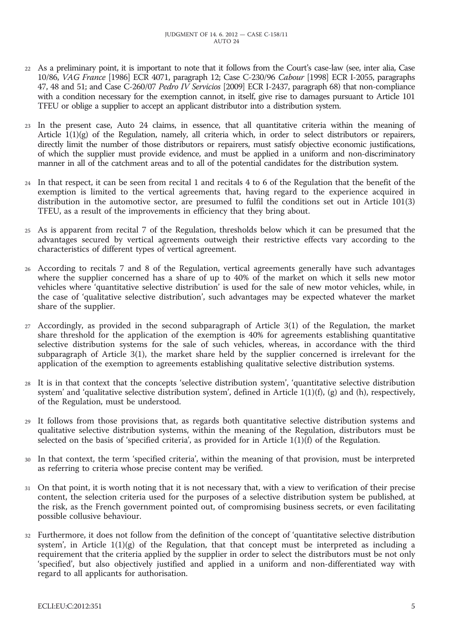- 22 As a preliminary point, it is important to note that it follows from the Court's case-law (see, inter alia, Case 10/86, *VAG France* [1986] ECR 4071, paragraph 12; Case C-230/96 *Cabour* [1998] ECR I-2055, paragraphs 47, 48 and 51; and Case C-260/07 *Pedro IV Servicios* [2009] ECR I-2437, paragraph 68) that non-compliance with a condition necessary for the exemption cannot, in itself, give rise to damages pursuant to Article 101 TFEU or oblige a supplier to accept an applicant distributor into a distribution system.
- 23 In the present case, Auto 24 claims, in essence, that all quantitative criteria within the meaning of Article  $1(1)(g)$  of the Regulation, namely, all criteria which, in order to select distributors or repairers, directly limit the number of those distributors or repairers, must satisfy objective economic justifications, of which the supplier must provide evidence, and must be applied in a uniform and non-discriminatory manner in all of the catchment areas and to all of the potential candidates for the distribution system.
- 24 In that respect, it can be seen from recital 1 and recitals 4 to 6 of the Regulation that the benefit of the exemption is limited to the vertical agreements that, having regard to the experience acquired in distribution in the automotive sector, are presumed to fulfil the conditions set out in Article 101(3) TFEU, as a result of the improvements in efficiency that they bring about.
- 25 As is apparent from recital 7 of the Regulation, thresholds below which it can be presumed that the advantages secured by vertical agreements outweigh their restrictive effects vary according to the characteristics of different types of vertical agreement.
- 26 According to recitals 7 and 8 of the Regulation, vertical agreements generally have such advantages where the supplier concerned has a share of up to 40% of the market on which it sells new motor vehicles where 'quantitative selective distribution' is used for the sale of new motor vehicles, while, in the case of 'qualitative selective distribution', such advantages may be expected whatever the market share of the supplier.
- 27 Accordingly, as provided in the second subparagraph of Article 3(1) of the Regulation, the market share threshold for the application of the exemption is 40% for agreements establishing quantitative selective distribution systems for the sale of such vehicles, whereas, in accordance with the third subparagraph of Article 3(1), the market share held by the supplier concerned is irrelevant for the application of the exemption to agreements establishing qualitative selective distribution systems.
- 28 It is in that context that the concepts 'selective distribution system', 'quantitative selective distribution system' and 'qualitative selective distribution system', defined in Article 1(1)(f), (g) and (h), respectively, of the Regulation, must be understood.
- 29 It follows from those provisions that, as regards both quantitative selective distribution systems and qualitative selective distribution systems, within the meaning of the Regulation, distributors must be selected on the basis of 'specified criteria', as provided for in Article 1(1)(f) of the Regulation.
- 30 In that context, the term 'specified criteria', within the meaning of that provision, must be interpreted as referring to criteria whose precise content may be verified.
- 31 On that point, it is worth noting that it is not necessary that, with a view to verification of their precise content, the selection criteria used for the purposes of a selective distribution system be published, at the risk, as the French government pointed out, of compromising business secrets, or even facilitating possible collusive behaviour.
- 32 Furthermore, it does not follow from the definition of the concept of 'quantitative selective distribution system', in Article 1(1)(g) of the Regulation, that that concept must be interpreted as including a requirement that the criteria applied by the supplier in order to select the distributors must be not only 'specified', but also objectively justified and applied in a uniform and non-differentiated way with regard to all applicants for authorisation.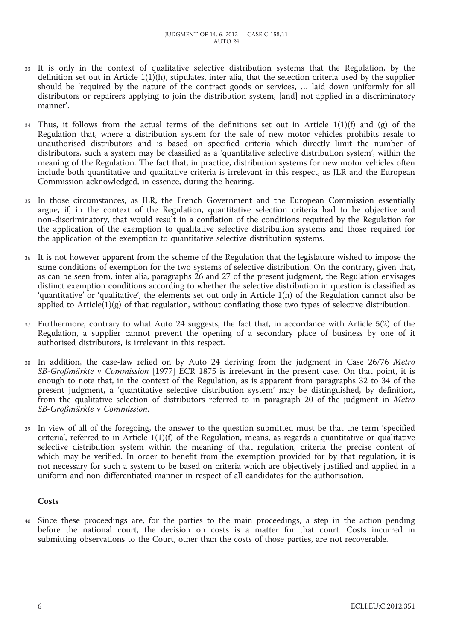- 33 It is only in the context of qualitative selective distribution systems that the Regulation, by the definition set out in Article 1(1)(h), stipulates, inter alia, that the selection criteria used by the supplier should be 'required by the nature of the contract goods or services, … laid down uniformly for all distributors or repairers applying to join the distribution system, [and] not applied in a discriminatory manner'.
- 34 Thus, it follows from the actual terms of the definitions set out in Article 1(1)(f) and (g) of the Regulation that, where a distribution system for the sale of new motor vehicles prohibits resale to unauthorised distributors and is based on specified criteria which directly limit the number of distributors, such a system may be classified as a 'quantitative selective distribution system', within the meaning of the Regulation. The fact that, in practice, distribution systems for new motor vehicles often include both quantitative and qualitative criteria is irrelevant in this respect, as JLR and the European Commission acknowledged, in essence, during the hearing.
- 35 In those circumstances, as JLR, the French Government and the European Commission essentially argue, if, in the context of the Regulation, quantitative selection criteria had to be objective and non-discriminatory, that would result in a conflation of the conditions required by the Regulation for the application of the exemption to qualitative selective distribution systems and those required for the application of the exemption to quantitative selective distribution systems.
- 36 It is not however apparent from the scheme of the Regulation that the legislature wished to impose the same conditions of exemption for the two systems of selective distribution. On the contrary, given that, as can be seen from, inter alia, paragraphs 26 and 27 of the present judgment, the Regulation envisages distinct exemption conditions according to whether the selective distribution in question is classified as 'quantitative' or 'qualitative', the elements set out only in Article 1(h) of the Regulation cannot also be applied to Article(1)(g) of that regulation, without conflating those two types of selective distribution.
- 37 Furthermore, contrary to what Auto 24 suggests, the fact that, in accordance with Article 5(2) of the Regulation, a supplier cannot prevent the opening of a secondary place of business by one of it authorised distributors, is irrelevant in this respect.
- 38 In addition, the case-law relied on by Auto 24 deriving from the judgment in Case 26/76 *Metro SB-Großmärkte* v *Commission* [1977] ECR 1875 is irrelevant in the present case. On that point, it is enough to note that, in the context of the Regulation, as is apparent from paragraphs 32 to 34 of the present judgment, a 'quantitative selective distribution system' may be distinguished, by definition, from the qualitative selection of distributors referred to in paragraph 20 of the judgment in *Metro SB-Großmärkte* v *Commission*.
- 39 In view of all of the foregoing, the answer to the question submitted must be that the term 'specified criteria', referred to in Article 1(1)(f) of the Regulation, means, as regards a quantitative or qualitative selective distribution system within the meaning of that regulation, criteria the precise content of which may be verified. In order to benefit from the exemption provided for by that regulation, it is not necessary for such a system to be based on criteria which are objectively justified and applied in a uniform and non-differentiated manner in respect of all candidates for the authorisation.

# **Costs**

40 Since these proceedings are, for the parties to the main proceedings, a step in the action pending before the national court, the decision on costs is a matter for that court. Costs incurred in submitting observations to the Court, other than the costs of those parties, are not recoverable.